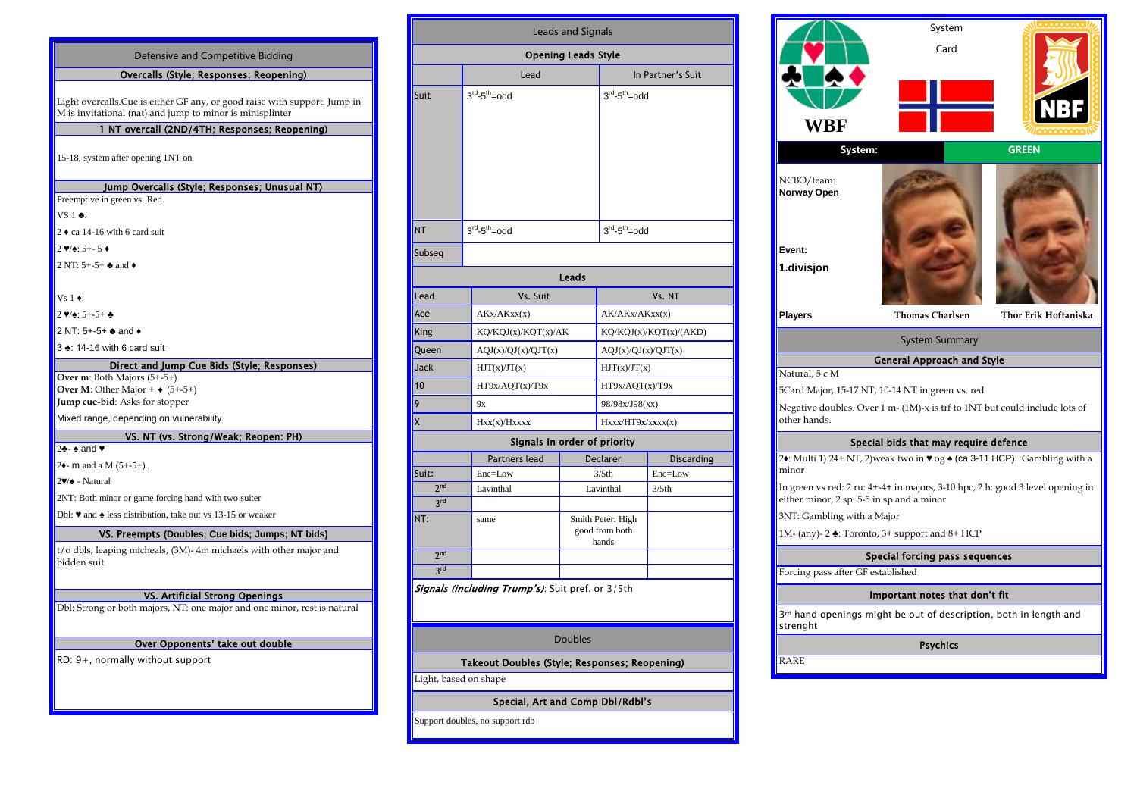| Defensive and Competitive Bidding                                                                                                       |  |  |  |  |
|-----------------------------------------------------------------------------------------------------------------------------------------|--|--|--|--|
| Overcalls (Style; Responses; Reopening)                                                                                                 |  |  |  |  |
| Light overcalls. Cue is either GF any, or good raise with support. Jump in<br>M is invitational (nat) and jump to minor is minisplinter |  |  |  |  |
| 1 NT overcall (2ND/4TH; Responses; Reopening)                                                                                           |  |  |  |  |
| 15-18, system after opening 1NT on                                                                                                      |  |  |  |  |
| Jump Overcalls (Style; Responses; Unusual NT)                                                                                           |  |  |  |  |
| Preemptive in green vs. Red.                                                                                                            |  |  |  |  |
| $VS1$ $\bullet$ :                                                                                                                       |  |  |  |  |
| $2 \cdot ca$ 14-16 with 6 card suit                                                                                                     |  |  |  |  |
| $2 \vee 2 \cdot 5 + - 5 \cdot$                                                                                                          |  |  |  |  |
| 2 NT: $5+-5+$ $\clubsuit$ and $\spadesuit$                                                                                              |  |  |  |  |
|                                                                                                                                         |  |  |  |  |
| Vs $1 \bullet$ :                                                                                                                        |  |  |  |  |
| $2 \vee 2 : 5 + -5 +$                                                                                                                   |  |  |  |  |
| 2 NT: 5+-5+ + and +                                                                                                                     |  |  |  |  |
| 3 ±: 14-16 with 6 card suit                                                                                                             |  |  |  |  |
| Direct and Jump Cue Bids (Style; Responses)                                                                                             |  |  |  |  |
| Over m: Both Majors (5+-5+)<br>Over M: Other Major + $\bullet$ (5+-5+)<br>Jump cue-bid: Asks for stopper                                |  |  |  |  |
| Mixed range, depending on vulnerability                                                                                                 |  |  |  |  |
| VS. NT (vs. Strong/Weak; Reopen: PH)                                                                                                    |  |  |  |  |
| 2÷- ÷ and ♥                                                                                                                             |  |  |  |  |
| 2 $\bullet$ - m and a M (5+-5+),                                                                                                        |  |  |  |  |
| $2\Psi/\spadesuit$ - Natural                                                                                                            |  |  |  |  |
| 2NT: Both minor or game forcing hand with two suiter                                                                                    |  |  |  |  |
| Dbl: $\blacktriangledown$ and $\blacktriangle$ less distribution, take out vs 13-15 or weaker                                           |  |  |  |  |
| VS. Preempts (Doubles; Cue bids; Jumps; NT bids)                                                                                        |  |  |  |  |
| t/o dbls, leaping micheals, (3M)-4m michaels with other major and<br>bidden suit                                                        |  |  |  |  |
| VS. Artificial Strong Openings                                                                                                          |  |  |  |  |
| Dbl: Strong or both majors, NT: one major and one minor, rest is natural                                                                |  |  |  |  |
|                                                                                                                                         |  |  |  |  |
| Over Opponents' take out double                                                                                                         |  |  |  |  |
| $RD: 9+$ , normally without support                                                                                                     |  |  |  |  |
|                                                                                                                                         |  |  |  |  |
|                                                                                                                                         |  |  |  |  |
|                                                                                                                                         |  |  |  |  |

| <b>Leads and Signals</b>     |                     |  |                                              |                   |  |  |  |
|------------------------------|---------------------|--|----------------------------------------------|-------------------|--|--|--|
| <b>Opening Leads Style</b>   |                     |  |                                              |                   |  |  |  |
|                              | Lead                |  | In Partner's Suit                            |                   |  |  |  |
| Suit                         | $3rd - 5th = odd$   |  | $3rd-5th=odd$                                |                   |  |  |  |
| <b>NT</b>                    | $3rd - 5th =$ odd   |  | $3rd - 5th = odd$                            |                   |  |  |  |
| Subseq                       |                     |  |                                              |                   |  |  |  |
| Leads                        |                     |  |                                              |                   |  |  |  |
| Lead                         | Vs. Suit            |  |                                              | Vs. NT            |  |  |  |
| Ace                          | AKx/AKxx(x)         |  | AK/AKx/AKxx(x)                               |                   |  |  |  |
| King                         | KQ/KQJ(x)/KQT(x)/AK |  | KQ/KQJ(x)/KQT(x)/(AKD)                       |                   |  |  |  |
| Queen                        | AQJ(x)/QJ(x)/QJT(x) |  | AQJ(x)/QJ(x)/QJT(x)                          |                   |  |  |  |
| <b>Jack</b>                  | HJT(x)/JT(x)        |  | HJT(x)/JT(x)                                 |                   |  |  |  |
| 10                           | HT9x/AQT(x)/T9x     |  | HT9x/AQT(x)/T9x                              |                   |  |  |  |
| 9                            | <b>9x</b>           |  | 98/98x/J98(xx)                               |                   |  |  |  |
| X                            | Hxx(x)/Hxxxx        |  | Hxxx/HT9x/xxxx(x)                            |                   |  |  |  |
| Signals in order of priority |                     |  |                                              |                   |  |  |  |
|                              | Partners lead       |  | <b>Declarer</b>                              | <b>Discarding</b> |  |  |  |
| Suit:                        | Enc=Low             |  | 3/5th                                        | Enc=Low           |  |  |  |
| 2 <sup>nd</sup>              | Lavinthal           |  | Lavinthal                                    | 3/5 <sub>th</sub> |  |  |  |
| 3 <sup>rd</sup>              |                     |  |                                              |                   |  |  |  |
| NT:                          | same                |  | Smith Peter: High<br>good from both<br>hands |                   |  |  |  |
| 2 <sup>nd</sup>              |                     |  |                                              |                   |  |  |  |

|                 | Partners lead | <b>Declarer</b>                              | <b>Discarding</b> |  |
|-----------------|---------------|----------------------------------------------|-------------------|--|
| Suit:           | $Enc = Low$   | 3/5 <sub>th</sub>                            | Enc=Low           |  |
| 2 <sub>nd</sub> | Lavinthal     | Lavinthal                                    | 3/5 <sub>th</sub> |  |
| 3rd             |               |                                              |                   |  |
| NT:             | same          | Smith Peter: High<br>good from both<br>hands |                   |  |
| 2 <sub>nd</sub> |               |                                              |                   |  |
| 3rd             |               |                                              |                   |  |

*Signals (including Trump's)*: Suit pref. or 3/5th

## Doubles

Takeout Doubles (Style; Responses; Reopening)

Light, based on shape

Special, Art and Comp Dbl/Rdbl's

Support doubles, no support rdb

|                                                                                            | System                                                                                                                      |                             |  |  |  |
|--------------------------------------------------------------------------------------------|-----------------------------------------------------------------------------------------------------------------------------|-----------------------------|--|--|--|
| WBF                                                                                        | Card                                                                                                                        |                             |  |  |  |
| System:                                                                                    |                                                                                                                             | <b>GREEN</b>                |  |  |  |
| NCBO/team:<br>Norway Open                                                                  |                                                                                                                             |                             |  |  |  |
| Event:                                                                                     |                                                                                                                             |                             |  |  |  |
|                                                                                            |                                                                                                                             |                             |  |  |  |
| 1.divisjon                                                                                 |                                                                                                                             |                             |  |  |  |
| <b>Players</b>                                                                             | <b>Thomas Charlsen</b>                                                                                                      | <b>Thor Erik Hoftaniska</b> |  |  |  |
|                                                                                            | <b>System Summary</b>                                                                                                       |                             |  |  |  |
|                                                                                            | General Approach and Style                                                                                                  |                             |  |  |  |
| Natural, 5 c M                                                                             |                                                                                                                             |                             |  |  |  |
|                                                                                            | 5Card Major, 15-17 NT, 10-14 NT in green vs. red                                                                            |                             |  |  |  |
| Negative doubles. Over 1 m- (1M)-x is trf to 1NT but could include lots of<br>other hands. |                                                                                                                             |                             |  |  |  |
|                                                                                            |                                                                                                                             |                             |  |  |  |
|                                                                                            | Special bids that may require defence                                                                                       |                             |  |  |  |
| minor                                                                                      | 2• Multi 1) 24+ NT, 2) weak two in $\mathbf{v}$ og $\triangleq$ (ca 3-11 HCP) Gambling with a                               |                             |  |  |  |
| either minor, 2 sp: 5-5 in sp and a minor                                                  | In green vs red: $2 \text{ ru}$ : $4+-4+$ in majors, $3-10 \text{ hpc}$ , $2 \text{ h}$ : good $3 \text{ level opening in}$ |                             |  |  |  |
| 3NT: Gambling with a Major                                                                 |                                                                                                                             |                             |  |  |  |
|                                                                                            | 1M- (any)- $2 \triangleq$ : Toronto, $3+$ support and $8+$ HCP                                                              |                             |  |  |  |
|                                                                                            | Special forcing pass sequences                                                                                              |                             |  |  |  |
| Forcing pass after GF established                                                          |                                                                                                                             |                             |  |  |  |
|                                                                                            | Important notes that don't fit                                                                                              |                             |  |  |  |
| strenght                                                                                   | 3rd hand openings might be out of description, both in length and                                                           |                             |  |  |  |
|                                                                                            | <b>Psychics</b>                                                                                                             |                             |  |  |  |